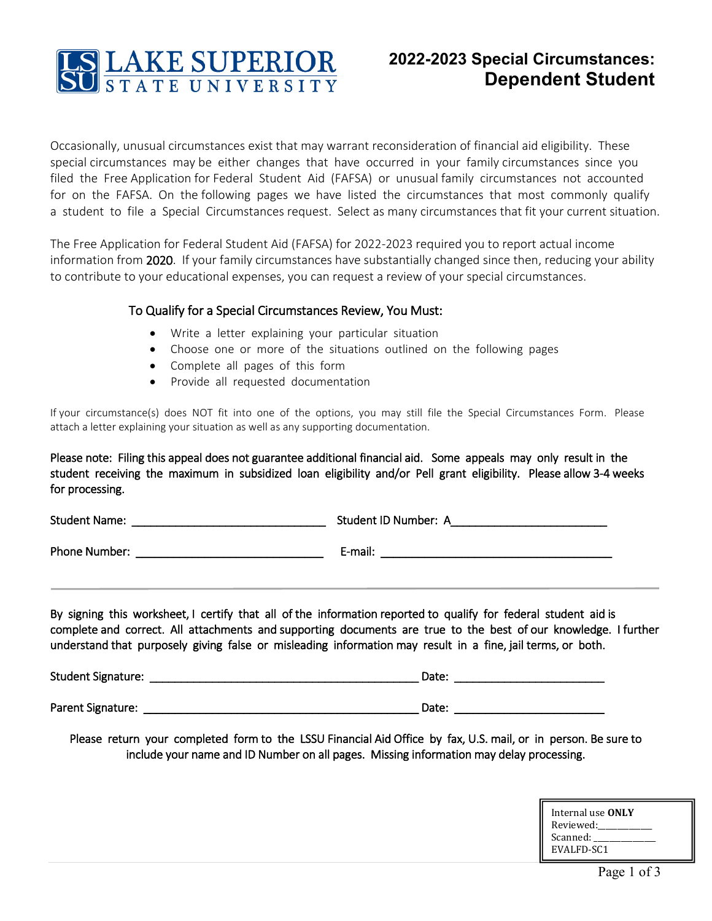

# **2022-2023 Special Circumstances: Dependent Student**

Occasionally, unusual circumstances exist that may warrant reconsideration of financial aid eligibility. These special circumstances may be either changes that have occurred in your family circumstances since you filed the Free Application for Federal Student Aid (FAFSA) or unusual family circumstances not accounted for on the FAFSA. On the following pages we have listed the circumstances that most commonly qualify a student to file a Special Circumstances request. Select as many circumstances that fit your current situation.

The Free Application for Federal Student Aid (FAFSA) for 2022-2023 required you to report actual income information from 2020. If your family circumstances have substantially changed since then, reducing your ability to contribute to your educational expenses, you can request a review of your special circumstances.

## To Qualify for a Special Circumstances Review, You Must:

- Write a letter explaining your particular situation
- Choose one or more of the situations outlined on the following pages
- Complete all pages of this form
- Provide all requested documentation

If your circumstance(s) does NOT fit into one of the options, you may still file the Special Circumstances Form. Please attach a letter explaining your situation as well as any supporting documentation.

Please note: Filing this appeal does not guarantee additional financial aid. Some appeals may only result in the student receiving the maximum in subsidized loan eligibility and/or Pell grant eligibility. Please allow 3-4 weeks for processing.

Student Name: \_\_\_\_\_\_\_\_\_\_\_\_\_\_\_\_\_\_\_\_\_\_\_\_\_\_\_\_\_\_\_ Student ID Number: A\_\_\_\_\_\_\_\_\_\_\_\_\_\_\_\_\_\_\_\_\_\_\_\_\_ Phone Number: \_\_\_\_\_\_\_\_\_\_\_\_\_\_\_\_\_\_\_\_\_\_\_\_\_\_\_\_\_\_ E-mail: \_\_\_\_\_\_\_\_\_\_\_\_\_\_\_\_\_\_\_\_\_\_\_\_\_\_\_\_\_\_\_\_\_\_\_\_\_ l

By signing this worksheet, I certify that all of the information reported to qualify for federal student aid is complete and correct. All attachments and supporting documents are true to the best of our knowledge. I further understand that purposely giving false or misleading information may result in a fine, jail terms, or both.

| <b>Student Signature:</b> | Date: |
|---------------------------|-------|
|                           |       |
| Parent Signature:         | Date: |

Please return your completed form to the LSSU Financial Aid Office by fax, U.S. mail, or in person. Be sure to include your name and ID Number on all pages. Missing information may delay processing.

| Internal use <b>ONLY</b> |  |
|--------------------------|--|
| Reviewed:                |  |
| Scanned:                 |  |
| EVALFD-SC1               |  |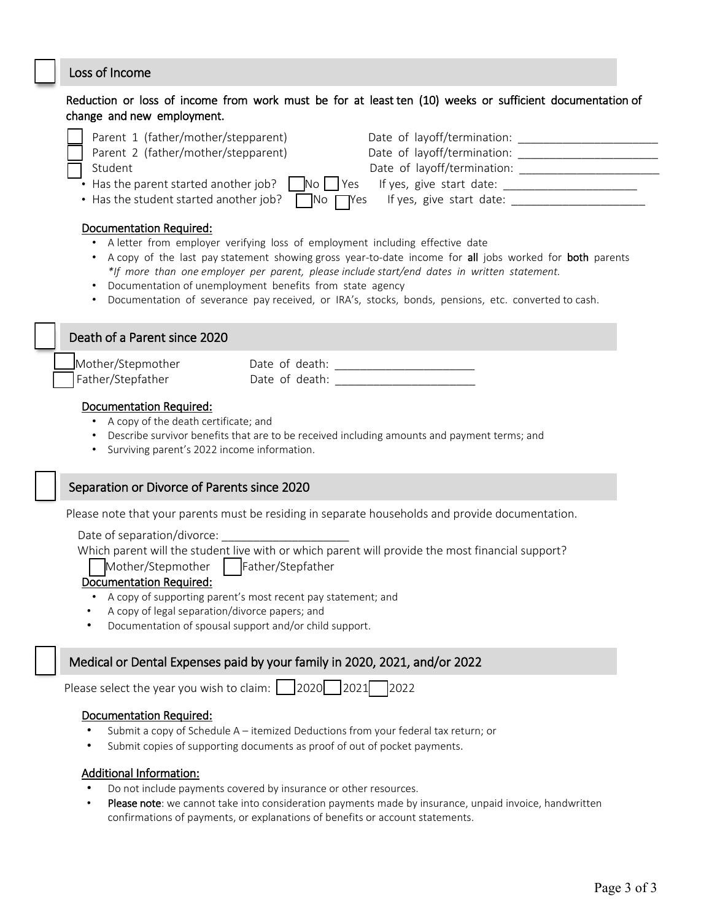# Loss of Income

## Reduction or loss of income from work must be for at least ten (10) weeks or sufficient documentation of change and new employment.

| Parent 1 (father/mother/stepparent)<br>Parent 2 (father/mother/stepparent)<br>Student<br>• Has the parent started another job?<br>$\overline{N}$ o   Yes<br>• Has the student started another job?<br>¶No<br><b>Documentation Required:</b><br>A letter from employer verifying loss of employment including effective date<br>*If more than one employer per parent, please include start/end dates in written statement. | Date of layoff/termination:<br>Date of layoff/termination:<br>Date of layoff/termination:<br>Yes.<br>A copy of the last pay statement showing gross year-to-date income for all jobs worked for both parents |
|----------------------------------------------------------------------------------------------------------------------------------------------------------------------------------------------------------------------------------------------------------------------------------------------------------------------------------------------------------------------------------------------------------------------------|--------------------------------------------------------------------------------------------------------------------------------------------------------------------------------------------------------------|
| Documentation of unemployment benefits from state agency<br>Documentation of severance pay received, or IRA's, stocks, bonds, pensions, etc. converted to cash.<br>Death of a Parent since 2020                                                                                                                                                                                                                            |                                                                                                                                                                                                              |
|                                                                                                                                                                                                                                                                                                                                                                                                                            |                                                                                                                                                                                                              |
| Mother/Stepmother<br>Father/Stepfather                                                                                                                                                                                                                                                                                                                                                                                     |                                                                                                                                                                                                              |
| • A copy of the death certificate; and<br>Describe survivor benefits that are to be received including amounts and payment terms; and<br>Surviving parent's 2022 income information.                                                                                                                                                                                                                                       |                                                                                                                                                                                                              |
| Separation or Divorce of Parents since 2020                                                                                                                                                                                                                                                                                                                                                                                |                                                                                                                                                                                                              |
| Please note that your parents must be residing in separate households and provide documentation.                                                                                                                                                                                                                                                                                                                           |                                                                                                                                                                                                              |
| Date of separation/divorce: ____<br>Which parent will the student live with or which parent will provide the most financial support?<br>Mother/Stepmother<br>  Father/Stepfather<br><b>Documentation Required:</b>                                                                                                                                                                                                         |                                                                                                                                                                                                              |
| A copy of supporting parent's most recent pay statement; and<br>A copy of legal separation/divorce papers; and<br>$\bullet$<br>Documentation of spousal support and/or child support.<br>$\bullet$                                                                                                                                                                                                                         |                                                                                                                                                                                                              |
| Medical or Dental Expenses paid by your family in 2020, 2021, and/or 2022                                                                                                                                                                                                                                                                                                                                                  |                                                                                                                                                                                                              |
| Please select the year you wish to claim:     2020   2021                                                                                                                                                                                                                                                                                                                                                                  | 2022                                                                                                                                                                                                         |

#### Documentation Required: • Submit a copy of Schedule A – itemized Deductions from your federal tax return; or

• Submit copies of supporting documents as proof of out of pocket payments.

#### Additional Information:

- Do not include payments covered by insurance or other resources.
- Please note: we cannot take into consideration payments made by insurance, unpaid invoice, handwritten confirmations of payments, or explanations of benefits or account statements.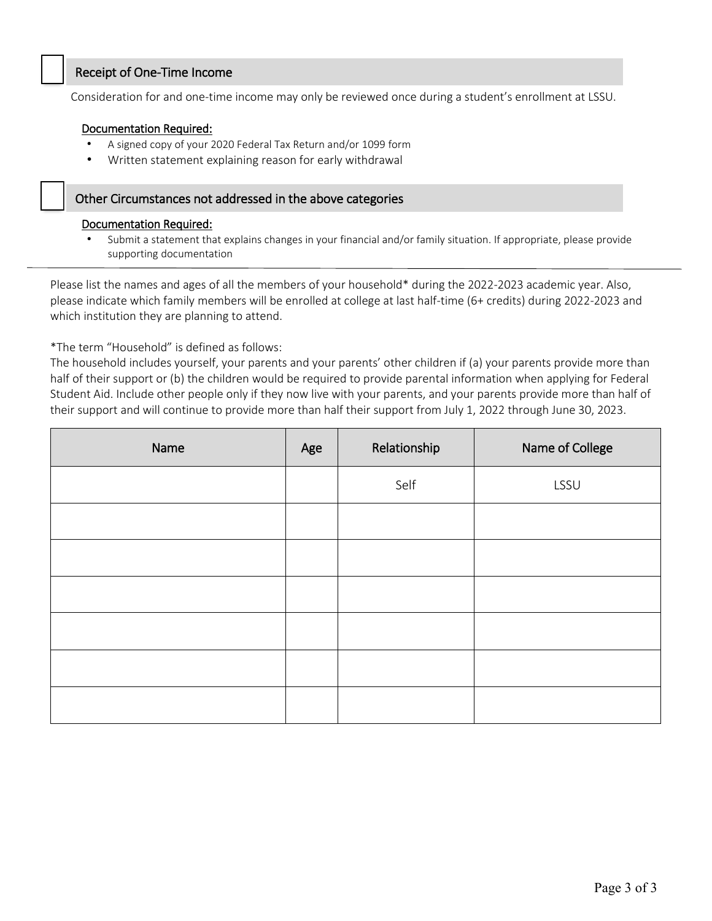# Receipt of One-Time Income

Consideration for and one-time income may only be reviewed once during a student's enrollment at LSSU.

#### Documentation Required:

- A signed copy of your 2020 Federal Tax Return and/or 1099 form
- Written statement explaining reason for early withdrawal

### Other Circumstances not addressed in the above categories

#### Documentation Required:

• Submit a statement that explains changes in your financial and/or family situation. If appropriate, please provide supporting documentation

Please list the names and ages of all the members of your household\* during the 2022-2023 academic year. Also, please indicate which family members will be enrolled at college at last half-time (6+ credits) during 2022-2023 and which institution they are planning to attend.

\*The term "Household" is defined as follows:

The household includes yourself, your parents and your parents' other children if (a) your parents provide more than half of their support or (b) the children would be required to provide parental information when applying for Federal Student Aid. Include other people only if they now live with your parents, and your parents provide more than half of their support and will continue to provide more than half their support from July 1, 2022 through June 30, 2023.

| Name | Age | Relationship | Name of College |
|------|-----|--------------|-----------------|
|      |     | Self         | LSSU            |
|      |     |              |                 |
|      |     |              |                 |
|      |     |              |                 |
|      |     |              |                 |
|      |     |              |                 |
|      |     |              |                 |